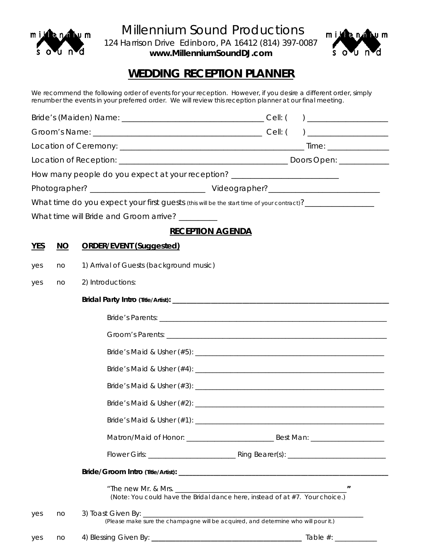

 Millennium Sound Productions 124 Harrison Drive Edinboro, PA 16412 (814) 397-0087

*www.MillenniumSoundDJ.com* 



## **WEDDING RECEPTION PLANNER**

We recommend the following order of events for your reception. However, if you desire a different order, simply renumber the events in your preferred order. We will review this reception planner at our final meeting.

|                                                                                                                                 |                 |                                                                                  | $\begin{tabular}{ c c c c } \hline \quad \quad & \quad \quad & \quad \quad & \quad \quad \\ \hline \end{tabular}$ |  |  |
|---------------------------------------------------------------------------------------------------------------------------------|-----------------|----------------------------------------------------------------------------------|-------------------------------------------------------------------------------------------------------------------|--|--|
|                                                                                                                                 |                 |                                                                                  |                                                                                                                   |  |  |
|                                                                                                                                 |                 |                                                                                  |                                                                                                                   |  |  |
|                                                                                                                                 |                 |                                                                                  |                                                                                                                   |  |  |
|                                                                                                                                 |                 | How many people do you expect at your reception? _______________________________ |                                                                                                                   |  |  |
|                                                                                                                                 |                 |                                                                                  |                                                                                                                   |  |  |
|                                                                                                                                 |                 |                                                                                  | What time do you expect your first guests (this will be the start time of your contract)?_________________        |  |  |
|                                                                                                                                 |                 | What time will Bride and Groom arrive? ________                                  |                                                                                                                   |  |  |
|                                                                                                                                 |                 | <b>RECEPTION AGENDA</b>                                                          |                                                                                                                   |  |  |
| <b>YES</b>                                                                                                                      | $\overline{NO}$ | <b>ORDER/EVENT (Suggested)</b>                                                   |                                                                                                                   |  |  |
| yes                                                                                                                             | no              | 1) Arrival of Guests (background music)                                          |                                                                                                                   |  |  |
| yes                                                                                                                             | no              | 2) Introductions:                                                                |                                                                                                                   |  |  |
|                                                                                                                                 |                 |                                                                                  |                                                                                                                   |  |  |
|                                                                                                                                 |                 |                                                                                  |                                                                                                                   |  |  |
|                                                                                                                                 |                 |                                                                                  |                                                                                                                   |  |  |
|                                                                                                                                 |                 |                                                                                  |                                                                                                                   |  |  |
|                                                                                                                                 |                 |                                                                                  |                                                                                                                   |  |  |
|                                                                                                                                 |                 |                                                                                  |                                                                                                                   |  |  |
|                                                                                                                                 |                 |                                                                                  |                                                                                                                   |  |  |
|                                                                                                                                 |                 |                                                                                  |                                                                                                                   |  |  |
|                                                                                                                                 |                 |                                                                                  |                                                                                                                   |  |  |
|                                                                                                                                 |                 |                                                                                  |                                                                                                                   |  |  |
|                                                                                                                                 |                 | Bride/Groom Intro (Title/Artist):                                                |                                                                                                                   |  |  |
|                                                                                                                                 |                 | "The new Mr. & Mrs.                                                              | (Note: You could have the Bridal dance here, instead of at #7. Your choice.)                                      |  |  |
| 3) Toast Given By: _________<br>yes<br>no<br>(Please make sure the champagne will be acquired, and determine who will pour it.) |                 |                                                                                  |                                                                                                                   |  |  |
| yes                                                                                                                             | no              |                                                                                  |                                                                                                                   |  |  |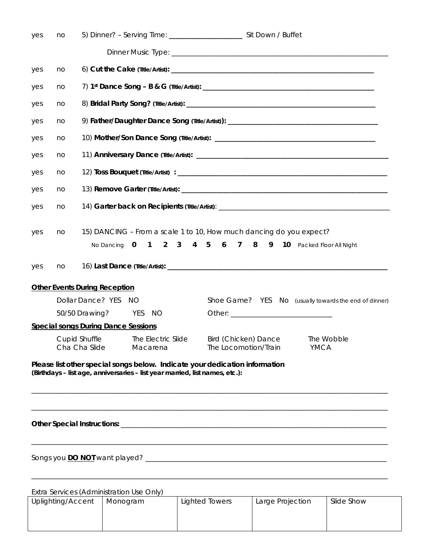| yes | no |                                                                                                                                                             |  |  |  |  |
|-----|----|-------------------------------------------------------------------------------------------------------------------------------------------------------------|--|--|--|--|
|     |    |                                                                                                                                                             |  |  |  |  |
| yes | no |                                                                                                                                                             |  |  |  |  |
| yes | no |                                                                                                                                                             |  |  |  |  |
| yes | no |                                                                                                                                                             |  |  |  |  |
| yes | no | 9) Father/Daughter Dance Song (Title/Artist)): _________________________________                                                                            |  |  |  |  |
| yes | no |                                                                                                                                                             |  |  |  |  |
| yes | no |                                                                                                                                                             |  |  |  |  |
| yes | no |                                                                                                                                                             |  |  |  |  |
| yes | no |                                                                                                                                                             |  |  |  |  |
| yes | no | 14) Garter back on Recipients (Title/Artist): __________________________________                                                                            |  |  |  |  |
|     |    |                                                                                                                                                             |  |  |  |  |
| yes | no | 15) DANCING - From a scale 1 to 10, How much dancing do you expect?                                                                                         |  |  |  |  |
|     |    | No Dancing 0 1 2 3 4 5 6 7 8 9 10 Packed Floor All Night                                                                                                    |  |  |  |  |
| yes | no |                                                                                                                                                             |  |  |  |  |
|     |    | <b>Other Events During Reception</b>                                                                                                                        |  |  |  |  |
|     |    | Dollar Dance? YES<br>Shoe Game? YES<br>- NO<br>No (usually towards the end of dinner)                                                                       |  |  |  |  |
|     |    | 50/50 Drawing?<br><b>PES</b><br><b>NO</b>                                                                                                                   |  |  |  |  |
|     |    | <b>Special songs During Dance Sessions</b>                                                                                                                  |  |  |  |  |
|     |    | <b>Cupid Shuffle</b><br>The Electric Slide<br><b>Bird (Chicken) Dance</b><br>The Wobble<br>YMCA<br>Cha Cha Slide<br>Macarena<br>The Locomotion/Train        |  |  |  |  |
|     |    | Please list other special songs below. Indicate your dedication information<br>(Birthdays - list age, anniversaries - list year married, list names, etc.): |  |  |  |  |
|     |    |                                                                                                                                                             |  |  |  |  |
|     |    |                                                                                                                                                             |  |  |  |  |
|     |    |                                                                                                                                                             |  |  |  |  |
|     |    | Extra Services (Administration Use Only)                                                                                                                    |  |  |  |  |
|     |    | <b>Lighted Towers</b><br>Uplighting/Accent   Monogram<br>Large Projection<br>Slide Show                                                                     |  |  |  |  |

| Uplighting/Accent | Monogram | Lighted Towers | Large Projection | Slide Show |  |  |  |
|-------------------|----------|----------------|------------------|------------|--|--|--|
|                   |          |                |                  |            |  |  |  |
|                   |          |                |                  |            |  |  |  |
|                   |          |                |                  |            |  |  |  |